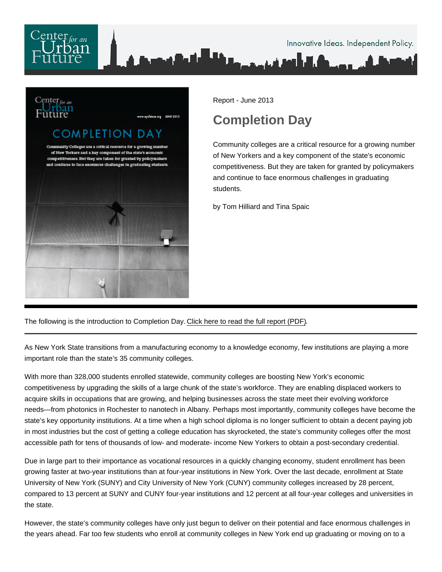

Report - June 2013

## Completion Day

Community colleges are a critical resource for a growing number of New Yorkers and a key component of the state's economic competitiveness. But they are taken for granted by policymakers and continue to face enormous challenges in graduating students.

by Tom Hilliard and Tina Spaic

The following is the introduction to Completion Day. [Click here to read the full report \(PDF\).](/pdf/Completion-Day.pdf)

As New York State transitions from a manufacturing economy to a knowledge economy, few institutions are playing a more important role than the state's 35 community colleges.

With more than 328,000 students enrolled statewide, community colleges are boosting New York's economic competitiveness by upgrading the skills of a large chunk of the state's workforce. They are enabling displaced workers to acquire skills in occupations that are growing, and helping businesses across the state meet their evolving workforce needs—from photonics in Rochester to nanotech in Albany. Perhaps most importantly, community colleges have become the state's key opportunity institutions. At a time when a high school diploma is no longer sufficient to obtain a decent paying job in most industries but the cost of getting a college education has skyrocketed, the state's community colleges offer the most accessible path for tens of thousands of low- and moderate- income New Yorkers to obtain a post-secondary credential.

Due in large part to their importance as vocational resources in a quickly changing economy, student enrollment has been growing faster at two-year institutions than at four-year institutions in New York. Over the last decade, enrollment at State University of New York (SUNY) and City University of New York (CUNY) community colleges increased by 28 percent, compared to 13 percent at SUNY and CUNY four-year institutions and 12 percent at all four-year colleges and universities in the state.

However, the state's community colleges have only just begun to deliver on their potential and face enormous challenges in the years ahead. Far too few students who enroll at community colleges in New York end up graduating or moving on to a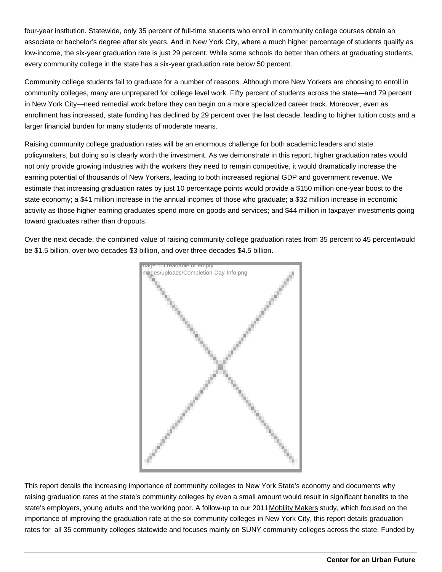four-year institution. Statewide, only 35 percent of full-time students who enroll in community college courses obtain an associate or bachelor's degree after six years. And in New York City, where a much higher percentage of students qualify as low-income, the six-year graduation rate is just 29 percent. While some schools do better than others at graduating students, every community college in the state has a six-year graduation rate below 50 percent.

Community college students fail to graduate for a number of reasons. Although more New Yorkers are choosing to enroll in community colleges, many are unprepared for college level work. Fifty percent of students across the state—and 79 percent in New York City—need remedial work before they can begin on a more specialized career track. Moreover, even as enrollment has increased, state funding has declined by 29 percent over the last decade, leading to higher tuition costs and a larger financial burden for many students of moderate means.

Raising community college graduation rates will be an enormous challenge for both academic leaders and state policymakers, but doing so is clearly worth the investment. As we demonstrate in this report, higher graduation rates would not only provide growing industries with the workers they need to remain competitive, it would dramatically increase the earning potential of thousands of New Yorkers, leading to both increased regional GDP and government revenue. We estimate that increasing graduation rates by just 10 percentage points would provide a \$150 million one-year boost to the state economy; a \$41 million increase in the annual incomes of those who graduate; a \$32 million increase in economic activity as those higher earning graduates spend more on goods and services; and \$44 million in taxpayer investments going toward graduates rather than dropouts.

Over the next decade, the combined value of raising community college graduation rates from 35 percent to 45 percent would be \$1.5 billion, over two decades \$3 billion, and over three decades \$4.5 billion.

> Image not readable or empty </images/uploads/Completion-Day-Info.png>

This report details the increasing importance of community colleges to New York State's economy and documents why raising graduation rates at the state's community colleges by even a small amount would result in significant benefits to the state's employers, young adults and the working poor. A follow-up to our 2011 [Mobility Makers](http://nycfuture.org/research/publications/mobility-makers) study, which focused on the importance of improving the graduation rate at the six community colleges in New York City, this report details graduation rates for all 35 community colleges statewide and focuses mainly on SUNY community colleges across the state. Funded by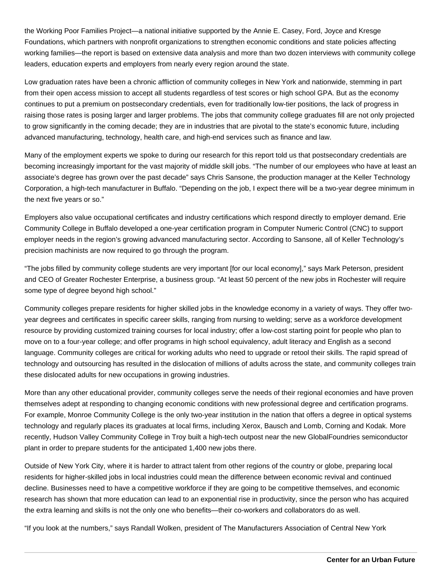the Working Poor Families Project—a national initiative supported by the Annie E. Casey, Ford, Joyce and Kresge Foundations, which partners with nonprofit organizations to strengthen economic conditions and state policies affecting working families—the report is based on extensive data analysis and more than two dozen interviews with community college leaders, education experts and employers from nearly every region around the state.

Low graduation rates have been a chronic affliction of community colleges in New York and nationwide, stemming in part from their open access mission to accept all students regardless of test scores or high school GPA. But as the economy continues to put a premium on postsecondary credentials, even for traditionally low-tier positions, the lack of progress in raising those rates is posing larger and larger problems. The jobs that community college graduates fill are not only projected to grow significantly in the coming decade; they are in industries that are pivotal to the state's economic future, including advanced manufacturing, technology, health care, and high-end services such as finance and law.

Many of the employment experts we spoke to during our research for this report told us that postsecondary credentials are becoming increasingly important for the vast majority of middle skill jobs. "The number of our employees who have at least an associate's degree has grown over the past decade" says Chris Sansone, the production manager at the Keller Technology Corporation, a high-tech manufacturer in Buffalo. "Depending on the job, I expect there will be a two-year degree minimum in the next five years or so."

Employers also value occupational certificates and industry certifications which respond directly to employer demand. Erie Community College in Buffalo developed a one-year certification program in Computer Numeric Control (CNC) to support employer needs in the region's growing advanced manufacturing sector. According to Sansone, all of Keller Technology's precision machinists are now required to go through the program.

"The jobs filled by community college students are very important [for our local economy]," says Mark Peterson, president and CEO of Greater Rochester Enterprise, a business group. "At least 50 percent of the new jobs in Rochester will require some type of degree beyond high school."

Community colleges prepare residents for higher skilled jobs in the knowledge economy in a variety of ways. They offer twoyear degrees and certificates in specific career skills, ranging from nursing to welding; serve as a workforce development resource by providing customized training courses for local industry; offer a low-cost starting point for people who plan to move on to a four-year college; and offer programs in high school equivalency, adult literacy and English as a second language. Community colleges are critical for working adults who need to upgrade or retool their skills. The rapid spread of technology and outsourcing has resulted in the dislocation of millions of adults across the state, and community colleges train these dislocated adults for new occupations in growing industries.

More than any other educational provider, community colleges serve the needs of their regional economies and have proven themselves adept at responding to changing economic conditions with new professional degree and certification programs. For example, Monroe Community College is the only two-year institution in the nation that offers a degree in optical systems technology and regularly places its graduates at local firms, including Xerox, Bausch and Lomb, Corning and Kodak. More recently, Hudson Valley Community College in Troy built a high-tech outpost near the new GlobalFoundries semiconductor plant in order to prepare students for the anticipated 1,400 new jobs there.

Outside of New York City, where it is harder to attract talent from other regions of the country or globe, preparing local residents for higher-skilled jobs in local industries could mean the difference between economic revival and continued decline. Businesses need to have a competitive workforce if they are going to be competitive themselves, and economic research has shown that more education can lead to an exponential rise in productivity, since the person who has acquired the extra learning and skills is not the only one who benefits—their co-workers and collaborators do as well.

"If you look at the numbers," says Randall Wolken, president of The Manufacturers Association of Central New York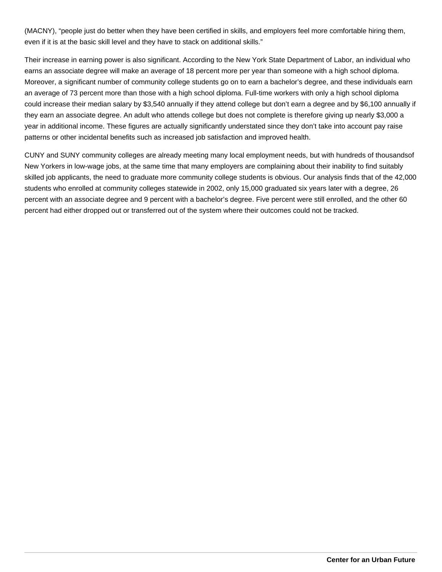(MACNY), "people just do better when they have been certified in skills, and employers feel more comfortable hiring them, even if it is at the basic skill level and they have to stack on additional skills."

Their increase in earning power is also significant. According to the New York State Department of Labor, an individual who earns an associate degree will make an average of 18 percent more per year than someone with a high school diploma. Moreover, a significant number of community college students go on to earn a bachelor's degree, and these individuals earn an average of 73 percent more than those with a high school diploma. Full-time workers with only a high school diploma could increase their median salary by \$3,540 annually if they attend college but don't earn a degree and by \$6,100 annually if they earn an associate degree. An adult who attends college but does not complete is therefore giving up nearly \$3,000 a year in additional income. These figures are actually significantly understated since they don't take into account pay raise patterns or other incidental benefits such as increased job satisfaction and improved health.

CUNY and SUNY community colleges are already meeting many local employment needs, but with hundreds of thousands of New Yorkers in low-wage jobs, at the same time that many employers are complaining about their inability to find suitably skilled job applicants, the need to graduate more community college students is obvious. Our analysis finds that of the 42,000 students who enrolled at community colleges statewide in 2002, only 15,000 graduated six years later with a degree, 26 percent with an associate degree and 9 percent with a bachelor's degree. Five percent were still enrolled, and the other 60 percent had either dropped out or transferred out of the system where their outcomes could not be tracked.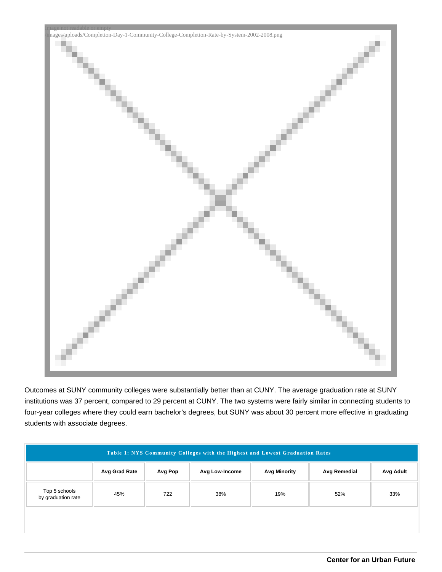

Outcomes at SUNY community colleges were substantially better than at CUNY. The average graduation rate at SUNY institutions was 37 percent, compared to 29 percent at CUNY. The two systems were fairly similar in connecting students to four-year colleges where they could earn bachelor's degrees, but SUNY was about 30 percent more effective in graduating students with associate degrees.

| Avg Grad Rate<br>Avg Low-Income<br>Avg Pop               | <b>Avg Minority</b> | Avg Remedial<br>Avg Adult |
|----------------------------------------------------------|---------------------|---------------------------|
| Top 5 schools<br>38%<br>45%<br>722<br>by graduation rate | 19%                 | 52%<br>33%                |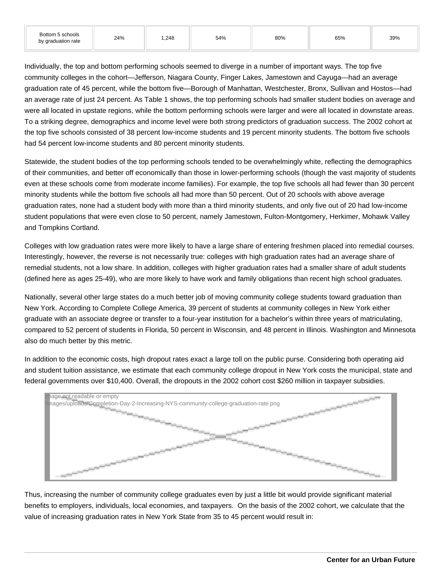| Bottom 5 schools<br>by graduation rate | 24% | ,248 | 54% | 80% | 65% | 39% |
|----------------------------------------|-----|------|-----|-----|-----|-----|
|----------------------------------------|-----|------|-----|-----|-----|-----|

Individually, the top and bottom performing schools seemed to diverge in a number of important ways. The top five community colleges in the cohort—Jefferson, Niagara County, Finger Lakes, Jamestown and Cayuga—had an average graduation rate of 45 percent, while the bottom five—Borough of Manhattan, Westchester, Bronx, Sullivan and Hostos—had an average rate of just 24 percent. As Table 1 shows, the top performing schools had smaller student bodies on average and were all located in upstate regions, while the bottom performing schools were larger and were all located in downstate areas. To a striking degree, demographics and income level were both strong predictors of graduation success. The 2002 cohort at the top five schools consisted of 38 percent low-income students and 19 percent minority students. The bottom five schools had 54 percent low-income students and 80 percent minority students.

Statewide, the student bodies of the top performing schools tended to be overwhelmingly white, reflecting the demographics of their communities, and better off economically than those in lower-performing schools (though the vast majority of students even at these schools come from moderate income families). For example, the top five schools all had fewer than 30 percent minority students while the bottom five schools all had more than 50 percent. Out of 20 schools with above average graduation rates, none had a student body with more than a third minority students, and only five out of 20 had low-income student populations that were even close to 50 percent, namely Jamestown, Fulton-Montgomery, Herkimer, Mohawk Valley and Tompkins Cortland.

Colleges with low graduation rates were more likely to have a large share of entering freshmen placed into remedial courses. Interestingly, however, the reverse is not necessarily true: colleges with high graduation rates had an average share of remedial students, not a low share. In addition, colleges with higher graduation rates had a smaller share of adult students (defined here as ages 25-49), who are more likely to have work and family obligations than recent high school graduates.

Nationally, several other large states do a much better job of moving community college students toward graduation than New York. According to Complete College America, 39 percent of students at community colleges in New York either graduate with an associate degree or transfer to a four-year institution for a bachelor's within three years of matriculating, compared to 52 percent of students in Florida, 50 percent in Wisconsin, and 48 percent in Illinois. Washington and Minnesota also do much better by this metric.

In addition to the economic costs, high dropout rates exact a large toll on the public purse. Considering both operating aid and student tuition assistance, we estimate that each community college dropout in New York costs the municipal, state and federal governments over \$10,400. Overall, the dropouts in the 2002 cohort cost \$260 million in taxpayer subsidies.



Thus, increasing the number of community college graduates even by just a little bit would provide significant material benefits to employers, individuals, local economies, and taxpayers. On the basis of the 2002 cohort, we calculate that the value of increasing graduation rates in New York State from 35 to 45 percent would result in: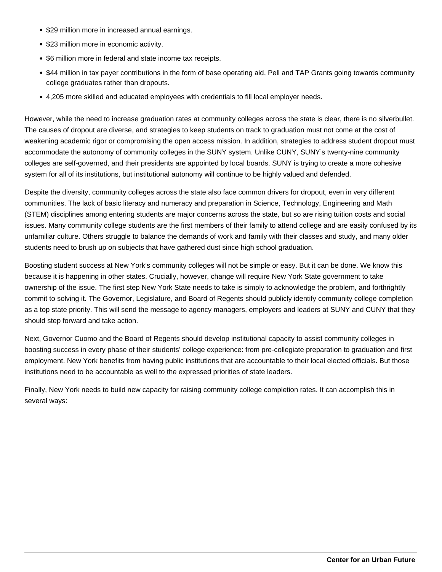- \$29 million more in increased annual earnings.
- \$23 million more in economic activity.
- \$6 million more in federal and state income tax receipts.
- \$44 million in tax payer contributions in the form of base operating aid, Pell and TAP Grants going towards community college graduates rather than dropouts.
- 4,205 more skilled and educated employees with credentials to fill local employer needs.

However, while the need to increase graduation rates at community colleges across the state is clear, there is no silverbullet. The causes of dropout are diverse, and strategies to keep students on track to graduation must not come at the cost of weakening academic rigor or compromising the open access mission. In addition, strategies to address student dropout must accommodate the autonomy of community colleges in the SUNY system. Unlike CUNY, SUNY's twenty-nine community colleges are self-governed, and their presidents are appointed by local boards. SUNY is trying to create a more cohesive system for all of its institutions, but institutional autonomy will continue to be highly valued and defended.

Despite the diversity, community colleges across the state also face common drivers for dropout, even in very different communities. The lack of basic literacy and numeracy and preparation in Science, Technology, Engineering and Math (STEM) disciplines among entering students are major concerns across the state, but so are rising tuition costs and social issues. Many community college students are the first members of their family to attend college and are easily confused by its unfamiliar culture. Others struggle to balance the demands of work and family with their classes and study, and many older students need to brush up on subjects that have gathered dust since high school graduation.

Boosting student success at New York's community colleges will not be simple or easy. But it can be done. We know this because it is happening in other states. Crucially, however, change will require New York State government to take ownership of the issue. The first step New York State needs to take is simply to acknowledge the problem, and forthrightly commit to solving it. The Governor, Legislature, and Board of Regents should publicly identify community college completion as a top state priority. This will send the message to agency managers, employers and leaders at SUNY and CUNY that they should step forward and take action.

Next, Governor Cuomo and the Board of Regents should develop institutional capacity to assist community colleges in boosting success in every phase of their students' college experience: from pre-collegiate preparation to graduation and first employment. New York benefits from having public institutions that are accountable to their local elected officials. But those institutions need to be accountable as well to the expressed priorities of state leaders.

Finally, New York needs to build new capacity for raising community college completion rates. It can accomplish this in several ways: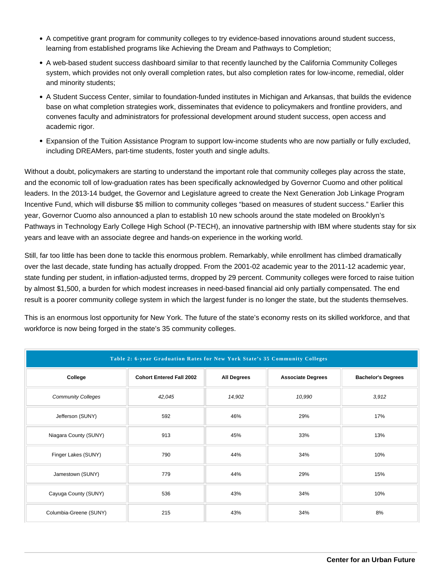- A competitive grant program for community colleges to try evidence-based innovations around student success, learning from established programs like Achieving the Dream and Pathways to Completion;
- A web-based student success dashboard similar to that recently launched by the California Community Colleges system, which provides not only overall completion rates, but also completion rates for low-income, remedial, older and minority students;
- A Student Success Center, similar to foundation-funded institutes in Michigan and Arkansas, that builds the evidence base on what completion strategies work, disseminates that evidence to policymakers and frontline providers, and convenes faculty and administrators for professional development around student success, open access and academic rigor.
- Expansion of the Tuition Assistance Program to support low-income students who are now partially or fully excluded, including DREAMers, part-time students, foster youth and single adults.

Without a doubt, policymakers are starting to understand the important role that community colleges play across the state, and the economic toll of low-graduation rates has been specifically acknowledged by Governor Cuomo and other political leaders. In the 2013-14 budget, the Governor and Legislature agreed to create the Next Generation Job Linkage Program Incentive Fund, which will disburse \$5 million to community colleges "based on measures of student success." Earlier this year, Governor Cuomo also announced a plan to establish 10 new schools around the state modeled on Brooklyn's Pathways in Technology Early College High School (P-TECH), an innovative partnership with IBM where students stay for six years and leave with an associate degree and hands-on experience in the working world.

Still, far too little has been done to tackle this enormous problem. Remarkably, while enrollment has climbed dramatically over the last decade, state funding has actually dropped. From the 2001-02 academic year to the 2011-12 academic year, state funding per student, in inflation-adjusted terms, dropped by 29 percent. Community colleges were forced to raise tuition by almost \$1,500, a burden for which modest increases in need-based financial aid only partially compensated. The end result is a poorer community college system in which the largest funder is no longer the state, but the students themselves.

This is an enormous lost opportunity for New York. The future of the state's economy rests on its skilled workforce, and that workforce is now being forged in the state's 35 community colleges.

| Table 2: 6-year Graduation Rates for New York State's 35 Community Colleges |                                 |                    |                          |                           |  |
|-----------------------------------------------------------------------------|---------------------------------|--------------------|--------------------------|---------------------------|--|
| College                                                                     | <b>Cohort Entered Fall 2002</b> | <b>All Degrees</b> | <b>Associate Degrees</b> | <b>Bachelor's Degrees</b> |  |
| <b>Community Colleges</b>                                                   | 42,045                          | 14,902             | 10,990                   | 3,912                     |  |
| Jefferson (SUNY)                                                            | 592                             | 46%                | 29%                      | 17%                       |  |
| Niagara County (SUNY)                                                       | 913                             | 45%                | 33%                      | 13%                       |  |
| Finger Lakes (SUNY)                                                         | 790                             | 44%                | 34%                      | 10%                       |  |
| Jamestown (SUNY)                                                            | 779                             | 44%                | 29%                      | 15%                       |  |
| Cayuga County (SUNY)                                                        | 536                             | 43%                | 34%                      | 10%                       |  |
| Columbia-Greene (SUNY)                                                      | 215                             | 43%                | 34%                      | 8%                        |  |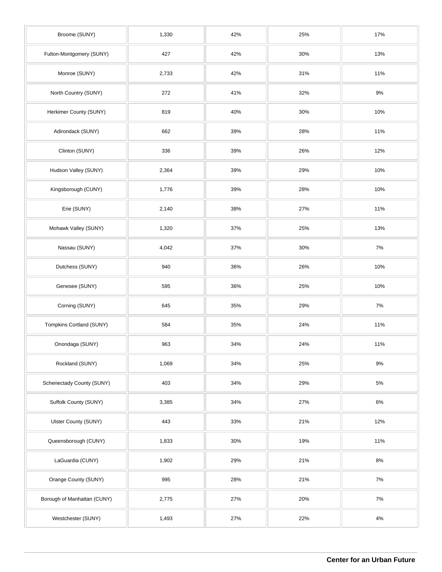| Broome (SUNY)               | 1,330 | 42% | 25% | 17%   |
|-----------------------------|-------|-----|-----|-------|
| Fulton-Montgomery (SUNY)    | 427   | 42% | 30% | 13%   |
| Monroe (SUNY)               | 2,733 | 42% | 31% | 11%   |
| North Country (SUNY)        | 272   | 41% | 32% | $9\%$ |
| Herkimer County (SUNY)      | 819   | 40% | 30% | 10%   |
| Adirondack (SUNY)           | 662   | 39% | 28% | 11%   |
| Clinton (SUNY)              | 336   | 39% | 26% | 12%   |
| Hudson Valley (SUNY)        | 2,364 | 39% | 29% | 10%   |
| Kingsborough (CUNY)         | 1,776 | 39% | 28% | 10%   |
| Erie (SUNY)                 | 2,140 | 38% | 27% | 11%   |
| Mohawk Valley (SUNY)        | 1,320 | 37% | 25% | 13%   |
| Nassau (SUNY)               | 4,042 | 37% | 30% | 7%    |
| Dutchess (SUNY)             | 940   | 36% | 26% | 10%   |
| Genesee (SUNY)              | 595   | 36% | 25% | 10%   |
| Corning (SUNY)              | 645   | 35% | 29% | 7%    |
| Tompkins Cortland (SUNY)    | 584   | 35% | 24% | 11%   |
| Onondaga (SUNY)             | 963   | 34% | 24% | 11%   |
| Rockland (SUNY)             | 1,069 | 34% | 25% | $9\%$ |
| Schenectady County (SUNY)   | 403   | 34% | 29% | $5\%$ |
| Suffolk County (SUNY)       | 3,385 | 34% | 27% | $6\%$ |
| Ulster County (SUNY)        | 443   | 33% | 21% | 12%   |
| Queensborough (CUNY)        | 1,833 | 30% | 19% | 11%   |
| LaGuardia (CUNY)            | 1,902 | 29% | 21% | $8\%$ |
| Orange County (SUNY)        | 995   | 28% | 21% | $7\%$ |
| Borough of Manhattan (CUNY) | 2,775 | 27% | 20% | $7\%$ |
| Westchester (SUNY)          | 1,493 | 27% | 22% | $4\%$ |